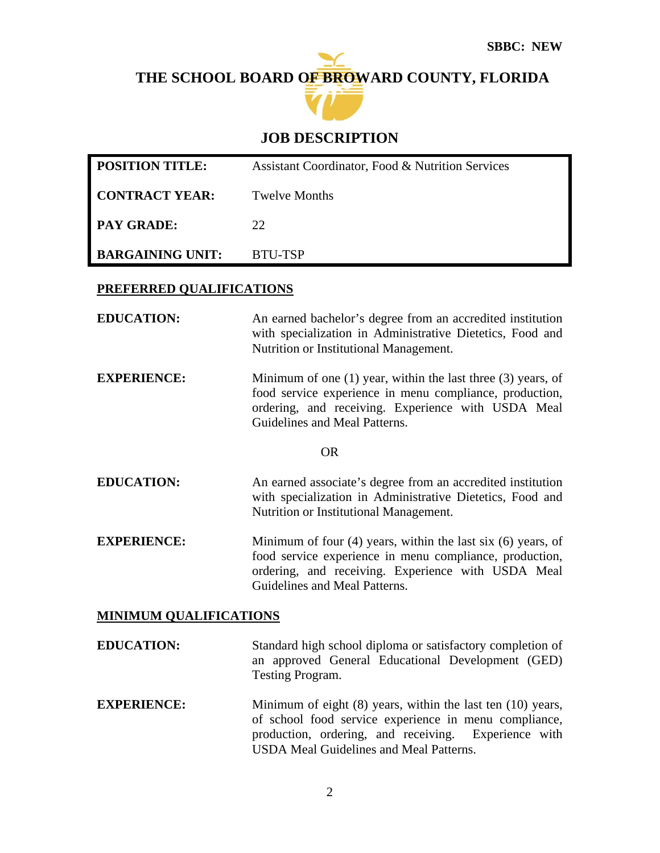# **THE SCHOOL BOARD OF BROWARD COUNTY, FLORIDA**



# **JOB DESCRIPTION**

| <b>POSITION TITLE:</b>  | Assistant Coordinator, Food & Nutrition Services |
|-------------------------|--------------------------------------------------|
| <b>CONTRACT YEAR:</b>   | Twelve Months                                    |
| <b>PAY GRADE:</b>       | 22                                               |
| <b>BARGAINING UNIT:</b> | BTU-TSP                                          |

#### **PREFERRED QUALIFICATIONS**

**EDUCATION:** An earned bachelor's degree from an accredited institution with specialization in Administrative Dietetics, Food and Nutrition or Institutional Management.

**EXPERIENCE:** Minimum of one (1) year, within the last three (3) years, of food service experience in menu compliance, production, ordering, and receiving. Experience with USDA Meal Guidelines and Meal Patterns.

#### OR

- **EDUCATION:** An earned associate's degree from an accredited institution with specialization in Administrative Dietetics, Food and Nutrition or Institutional Management.
- **EXPERIENCE:** Minimum of four (4) years, within the last six (6) years, of food service experience in menu compliance, production, ordering, and receiving. Experience with USDA Meal Guidelines and Meal Patterns.

#### **MINIMUM QUALIFICATIONS**

**EDUCATION:** Standard high school diploma or satisfactory completion of an approved General Educational Development (GED) Testing Program.

**EXPERIENCE:** Minimum of eight (8) years, within the last ten (10) years, of school food service experience in menu compliance, production, ordering, and receiving. Experience with USDA Meal Guidelines and Meal Patterns.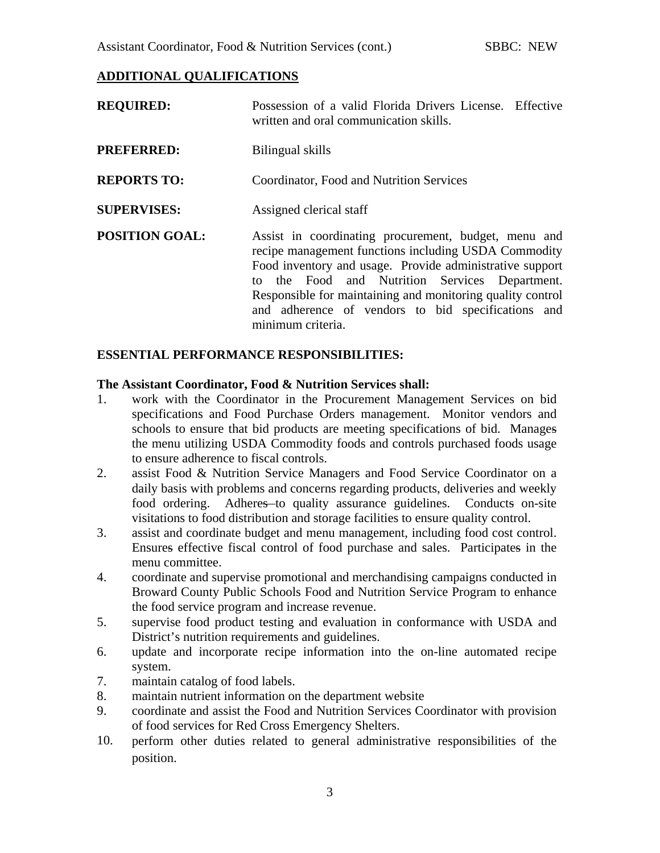### **ADDITIONAL QUALIFICATIONS**

| <b>REQUIRED:</b>      | Possession of a valid Florida Drivers License. Effective<br>written and oral communication skills.                                                                                                                                                                                                                                                                  |  |  |  |
|-----------------------|---------------------------------------------------------------------------------------------------------------------------------------------------------------------------------------------------------------------------------------------------------------------------------------------------------------------------------------------------------------------|--|--|--|
| <b>PREFERRED:</b>     | Bilingual skills                                                                                                                                                                                                                                                                                                                                                    |  |  |  |
| <b>REPORTS TO:</b>    | Coordinator, Food and Nutrition Services                                                                                                                                                                                                                                                                                                                            |  |  |  |
| <b>SUPERVISES:</b>    | Assigned clerical staff                                                                                                                                                                                                                                                                                                                                             |  |  |  |
| <b>POSITION GOAL:</b> | Assist in coordinating procurement, budget, menu and<br>recipe management functions including USDA Commodity<br>Food inventory and usage. Provide administrative support<br>to the Food and Nutrition Services Department.<br>Responsible for maintaining and monitoring quality control<br>and adherence of vendors to bid specifications and<br>minimum criteria. |  |  |  |

#### **ESSENTIAL PERFORMANCE RESPONSIBILITIES:**

#### **The Assistant Coordinator, Food & Nutrition Services shall:**

- 1. work with the Coordinator in the Procurement Management Services on bid specifications and Food Purchase Orders management. Monitor vendors and schools to ensure that bid products are meeting specifications of bid. Manages the menu utilizing USDA Commodity foods and controls purchased foods usage to ensure adherence to fiscal controls.
- 2. assist Food & Nutrition Service Managers and Food Service Coordinator on a daily basis with problems and concerns regarding products, deliveries and weekly food ordering. Adheres to quality assurance guidelines. Conducts on-site visitations to food distribution and storage facilities to ensure quality control.
- 3. assist and coordinate budget and menu management, including food cost control. Ensures effective fiscal control of food purchase and sales. Participates in the menu committee.
- 4. coordinate and supervise promotional and merchandising campaigns conducted in Broward County Public Schools Food and Nutrition Service Program to enhance the food service program and increase revenue.
- 5. supervise food product testing and evaluation in conformance with USDA and District's nutrition requirements and guidelines.
- 6. update and incorporate recipe information into the on-line automated recipe system.
- 7. maintain catalog of food labels.
- 8. maintain nutrient information on the department website
- 9. coordinate and assist the Food and Nutrition Services Coordinator with provision of food services for Red Cross Emergency Shelters.
- 10. perform other duties related to general administrative responsibilities of the position.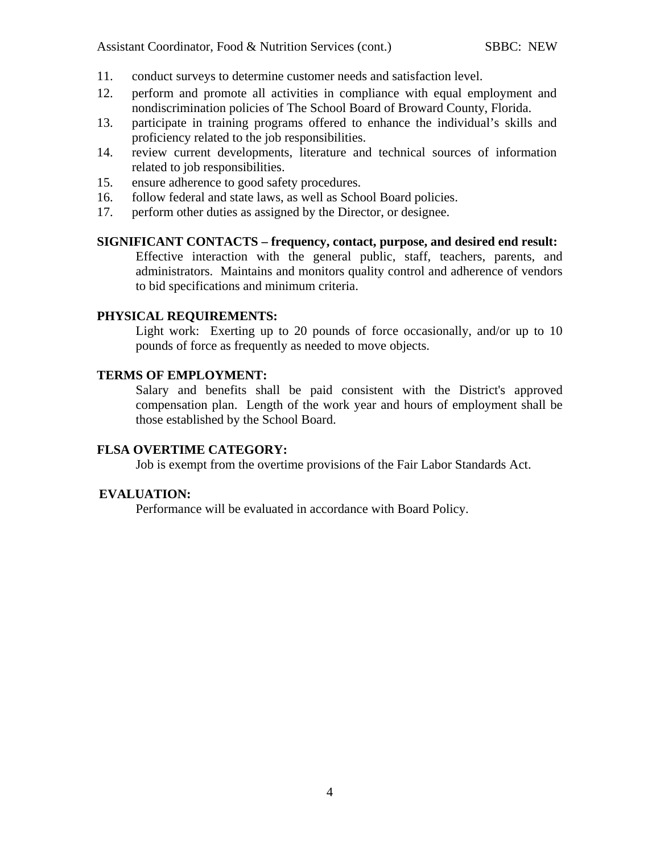- 11. conduct surveys to determine customer needs and satisfaction level.
- 12. perform and promote all activities in compliance with equal employment and nondiscrimination policies of The School Board of Broward County, Florida.
- 13. participate in training programs offered to enhance the individual's skills and proficiency related to the job responsibilities.
- 14. review current developments, literature and technical sources of information related to job responsibilities.
- 15. ensure adherence to good safety procedures.
- 16. follow federal and state laws, as well as School Board policies.
- 17. perform other duties as assigned by the Director, or designee.

#### **SIGNIFICANT CONTACTS – frequency, contact, purpose, and desired end result:**

Effective interaction with the general public, staff, teachers, parents, and administrators. Maintains and monitors quality control and adherence of vendors to bid specifications and minimum criteria.

#### **PHYSICAL REQUIREMENTS:**

Light work: Exerting up to 20 pounds of force occasionally, and/or up to 10 pounds of force as frequently as needed to move objects.

#### **TERMS OF EMPLOYMENT:**

Salary and benefits shall be paid consistent with the District's approved compensation plan. Length of the work year and hours of employment shall be those established by the School Board.

#### **FLSA OVERTIME CATEGORY:**

Job is exempt from the overtime provisions of the Fair Labor Standards Act.

#### **EVALUATION:**

Performance will be evaluated in accordance with Board Policy.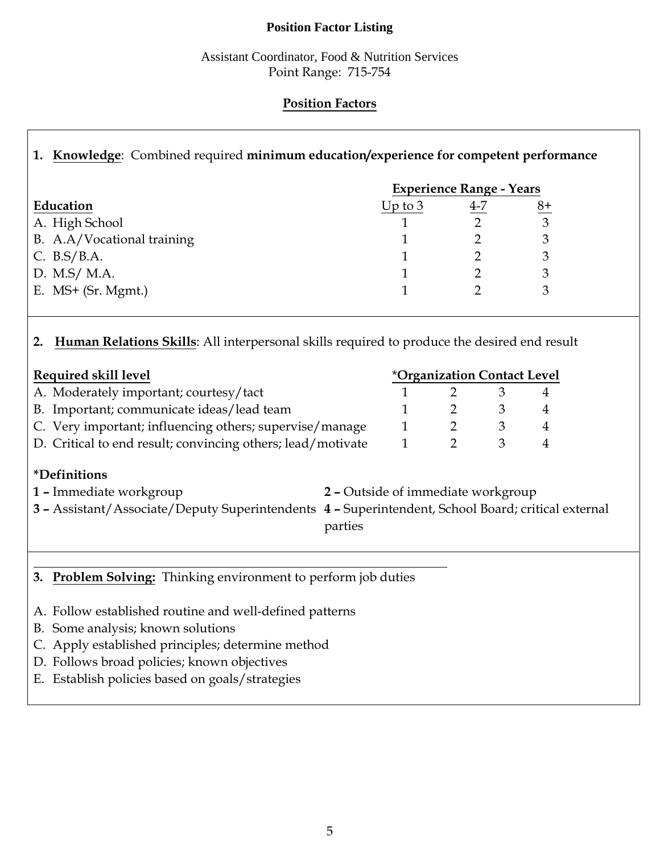## **Position Factor Listing**

Assistant Coordinator, Food & Nutrition Services Point Range: 715-754

## **Position Factors**

## **1. Knowledge**: Combined required **minimum education/experience for competent performance**

|                            | <b>Experience Range - Years</b> |     |      |
|----------------------------|---------------------------------|-----|------|
| Education                  | Up to $3$                       | 4-7 | $8+$ |
| A. High School             |                                 |     |      |
| B. A.A/Vocational training |                                 |     |      |
| C. $B.S/B.A.$              |                                 |     |      |
| D. M.S/ M.A.               |                                 |     |      |
| E. $MS+$ (Sr. Mgmt.)       |                                 |     |      |

## **2. Human Relations Skills**: All interpersonal skills required to produce the desired end result

| <i><b>*Organization Contact Level</b></i> |  |  |  |
|-------------------------------------------|--|--|--|
|                                           |  |  |  |
|                                           |  |  |  |
|                                           |  |  |  |
|                                           |  |  |  |
|                                           |  |  |  |

## **\*Definitions**

- **1 –** Immediate workgroup **2** Outside of immediate workgroup **3 –** Assistant/Associate/Deputy Superintendents **4 –** Superintendent, School Board; critical external parties
- **3. Problem Solving:** Thinking environment to perform job duties
- A. Follow established routine and well-defined patterns
- B. Some analysis; known solutions
- C. Apply established principles; determine method
- D. Follows broad policies; known objectives
- E. Establish policies based on goals/strategies